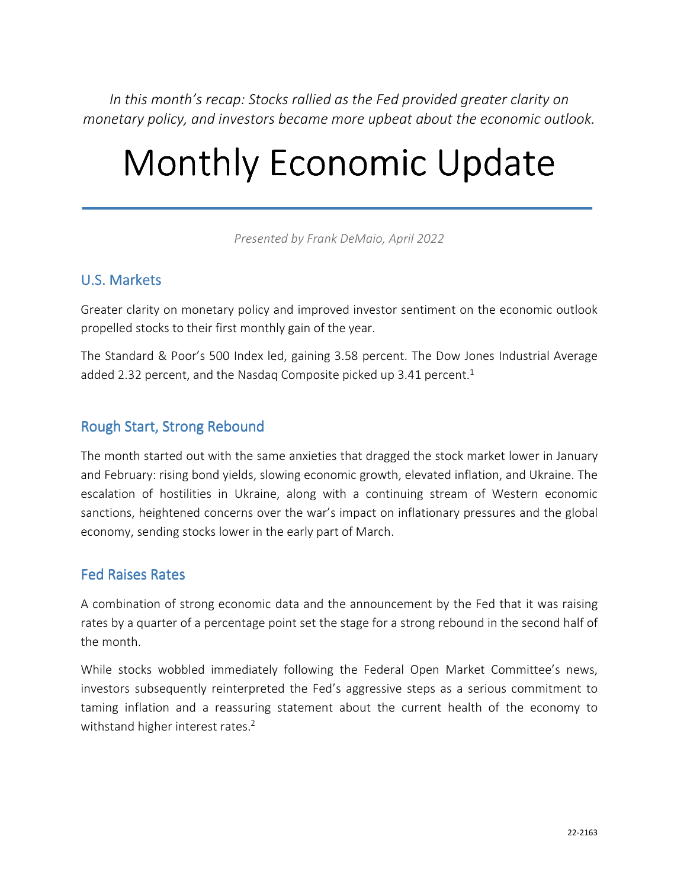*In this month's recap: Stocks rallied as the Fed provided greater clarity on monetary policy, and investors became more upbeat about the economic outlook.* 

# Monthly Economic Update

*Presented by Frank DeMaio, April 2022*

#### U.S. Markets

Greater clarity on monetary policy and improved investor sentiment on the economic outlook propelled stocks to their first monthly gain of the year.

The Standard & Poor's 500 Index led, gaining 3.58 percent. The Dow Jones Industrial Average added 2.32 percent, and the Nasdaq Composite picked up 3.41 percent.<sup>1</sup>

#### Rough Start, Strong Rebound

The month started out with the same anxieties that dragged the stock market lower in January and February: rising bond yields, slowing economic growth, elevated inflation, and Ukraine. The escalation of hostilities in Ukraine, along with a continuing stream of Western economic sanctions, heightened concerns over the war's impact on inflationary pressures and the global economy, sending stocks lower in the early part of March.

#### Fed Raises Rates

A combination of strong economic data and the announcement by the Fed that it was raising rates by a quarter of a percentage point set the stage for a strong rebound in the second half of the month.

While stocks wobbled immediately following the Federal Open Market Committee's news, investors subsequently reinterpreted the Fed's aggressive steps as a serious commitment to taming inflation and a reassuring statement about the current health of the economy to withstand higher interest rates.<sup>2</sup>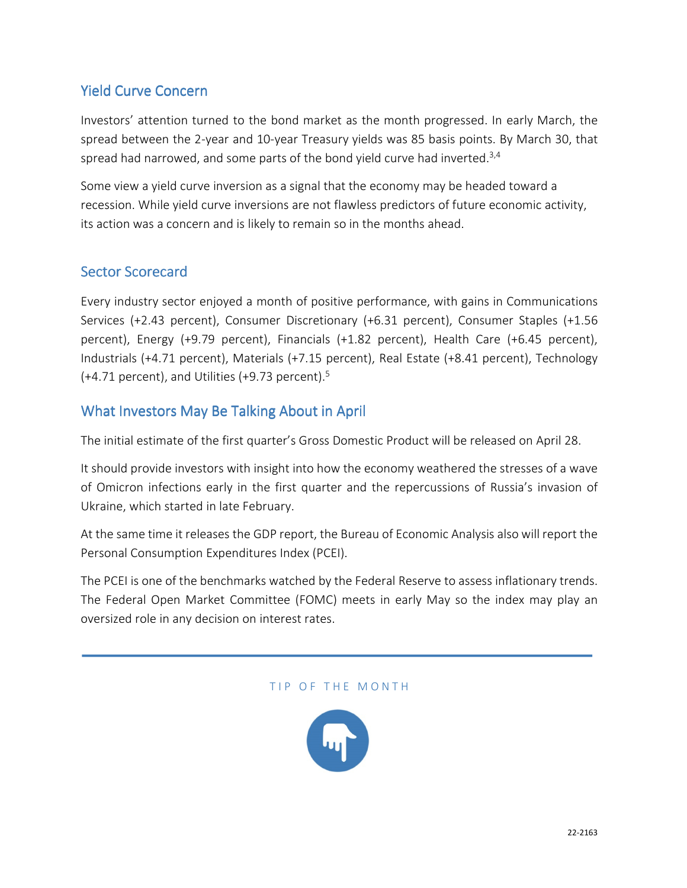### Yield Curve Concern

Investors' attention turned to the bond market as the month progressed. In early March, the spread between the 2-year and 10-year Treasury yields was 85 basis points. By March 30, that spread had narrowed, and some parts of the bond yield curve had inverted.<sup>3,4</sup>

Some view a yield curve inversion as a signal that the economy may be headed toward a recession. While yield curve inversions are not flawless predictors of future economic activity, its action was a concern and is likely to remain so in the months ahead.

#### Sector Scorecard

Every industry sector enjoyed a month of positive performance, with gains in Communications Services (+2.43 percent), Consumer Discretionary (+6.31 percent), Consumer Staples (+1.56 percent), Energy (+9.79 percent), Financials (+1.82 percent), Health Care (+6.45 percent), Industrials (+4.71 percent), Materials (+7.15 percent), Real Estate (+8.41 percent), Technology  $(+4.71$  percent), and Utilities  $(+9.73$  percent).<sup>5</sup>

#### What Investors May Be Talking About in April

The initial estimate of the first quarter's Gross Domestic Product will be released on April 28.

It should provide investors with insight into how the economy weathered the stresses of a wave of Omicron infections early in the first quarter and the repercussions of Russia's invasion of Ukraine, which started in late February.

At the same time it releases the GDP report, the Bureau of Economic Analysis also will report the Personal Consumption Expenditures Index (PCEI).

The PCEI is one of the benchmarks watched by the Federal Reserve to assess inflationary trends. The Federal Open Market Committee (FOMC) meets in early May so the index may play an oversized role in any decision on interest rates.

#### TIP OF THE MONTH

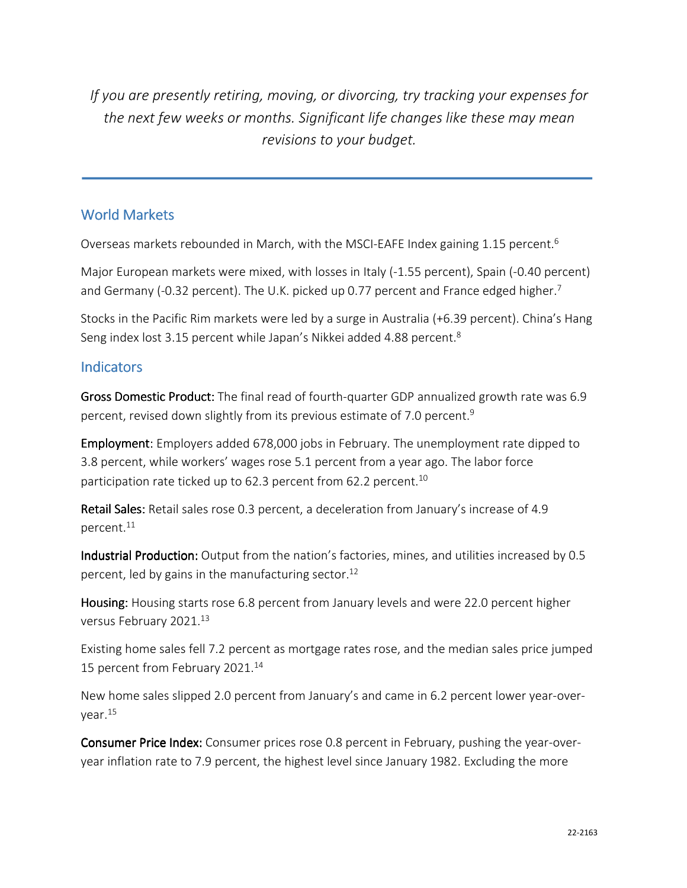*If you are presently retiring, moving, or divorcing, try tracking your expenses for the next few weeks or months. Significant life changes like these may mean revisions to your budget.*

#### World Markets

Overseas markets rebounded in March, with the MSCI-EAFE Index gaining 1.15 percent.<sup>6</sup>

Major European markets were mixed, with losses in Italy (-1.55 percent), Spain (-0.40 percent) and Germany (-0.32 percent). The U.K. picked up 0.77 percent and France edged higher.<sup>7</sup>

Stocks in the Pacific Rim markets were led by a surge in Australia (+6.39 percent). China's Hang Seng index lost 3.15 percent while Japan's Nikkei added 4.88 percent.<sup>8</sup>

#### **Indicators**

Gross Domestic Product: The final read of fourth-quarter GDP annualized growth rate was 6.9 percent, revised down slightly from its previous estimate of 7.0 percent.<sup>9</sup>

Employment: Employers added 678,000 jobs in February. The unemployment rate dipped to 3.8 percent, while workers' wages rose 5.1 percent from a year ago. The labor force participation rate ticked up to 62.3 percent from 62.2 percent.<sup>10</sup>

Retail Sales: Retail sales rose 0.3 percent, a deceleration from January's increase of 4.9 percent.<sup>11</sup>

Industrial Production: Output from the nation's factories, mines, and utilities increased by 0.5 percent, led by gains in the manufacturing sector.<sup>12</sup>

Housing: Housing starts rose 6.8 percent from January levels and were 22.0 percent higher versus February 2021.<sup>13</sup>

Existing home sales fell 7.2 percent as mortgage rates rose, and the median sales price jumped 15 percent from February 2021.<sup>14</sup>

New home sales slipped 2.0 percent from January's and came in 6.2 percent lower year-overyear.<sup>15</sup>

Consumer Price Index: Consumer prices rose 0.8 percent in February, pushing the year-overyear inflation rate to 7.9 percent, the highest level since January 1982. Excluding the more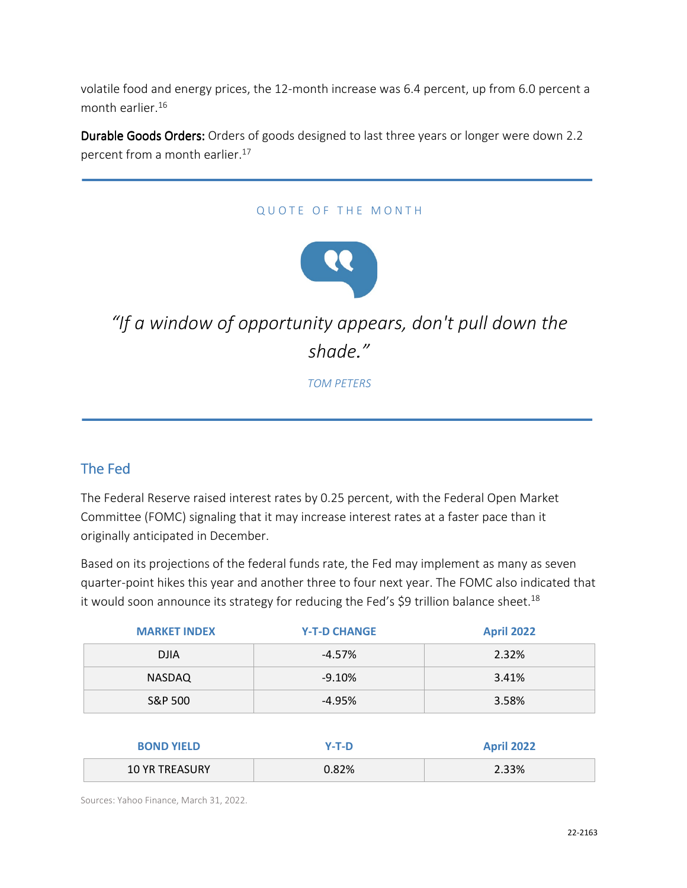volatile food and energy prices, the 12-month increase was 6.4 percent, up from 6.0 percent a month earlier.<sup>16</sup>

Durable Goods Orders: Orders of goods designed to last three years or longer were down 2.2 percent from a month earlier.<sup>17</sup>

#### QUOTE OF THE MONTH



## *"If a window of opportunity appears, don't pull down the shade."*

*TOM PETERS*

### The Fed

The Federal Reserve raised interest rates by 0.25 percent, with the Federal Open Market Committee (FOMC) signaling that it may increase interest rates at a faster pace than it originally anticipated in December.

Based on its projections of the federal funds rate, the Fed may implement as many as seven quarter-point hikes this year and another three to four next year. The FOMC also indicated that it would soon announce its strategy for reducing the Fed's  $\sharp$ 9 trillion balance sheet.<sup>18</sup>

| <b>MARKET INDEX</b> | <b>Y-T-D CHANGE</b> | <b>April 2022</b> |
|---------------------|---------------------|-------------------|
| <b>DJIA</b>         | $-4.57%$            | 2.32%             |
| <b>NASDAQ</b>       | $-9.10%$            | 3.41%             |
| S&P 500             | $-4.95%$            | 3.58%             |
|                     |                     |                   |
| <b>BOND YIELD</b>   | $Y-T-D$             | <b>April 2022</b> |

10 YR TREASURY 0.82% 2.33%

Sources: Yahoo Finance, March 31, 2022.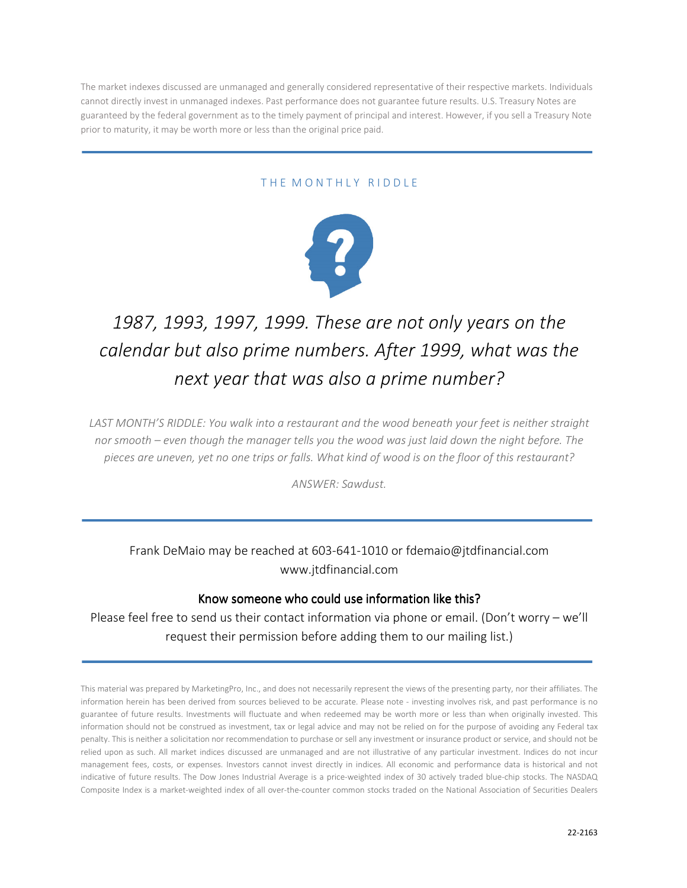The market indexes discussed are unmanaged and generally considered representative of their respective markets. Individuals cannot directly invest in unmanaged indexes. Past performance does not guarantee future results. U.S. Treasury Notes are guaranteed by the federal government as to the timely payment of principal and interest. However, if you sell a Treasury Note prior to maturity, it may be worth more or less than the original price paid.

#### THE MONTHLY RIDDLE



## *1987, 1993, 1997, 1999. These are not only years on the calendar but also prime numbers. After 1999, what was the next year that was also a prime number?*

*LAST MONTH'S RIDDLE: You walk into a restaurant and the wood beneath your feet is neither straight nor smooth – even though the manager tells you the wood was just laid down the night before. The pieces are uneven, yet no one trips or falls. What kind of wood is on the floor of this restaurant?* 

*ANSWER: Sawdust.* 

Frank DeMaio may be reached at 603-641-1010 or fdemaio@jtdfinancial.com www.jtdfinancial.com

#### Know someone who could use information like this?

Please feel free to send us their contact information via phone or email. (Don't worry – we'll request their permission before adding them to our mailing list.)

This material was prepared by MarketingPro, Inc., and does not necessarily represent the views of the presenting party, nor their affiliates. The information herein has been derived from sources believed to be accurate. Please note - investing involves risk, and past performance is no guarantee of future results. Investments will fluctuate and when redeemed may be worth more or less than when originally invested. This information should not be construed as investment, tax or legal advice and may not be relied on for the purpose of avoiding any Federal tax penalty. This is neither a solicitation nor recommendation to purchase or sell any investment or insurance product or service, and should not be relied upon as such. All market indices discussed are unmanaged and are not illustrative of any particular investment. Indices do not incur management fees, costs, or expenses. Investors cannot invest directly in indices. All economic and performance data is historical and not indicative of future results. The Dow Jones Industrial Average is a price-weighted index of 30 actively traded blue-chip stocks. The NASDAQ Composite Index is a market-weighted index of all over-the-counter common stocks traded on the National Association of Securities Dealers